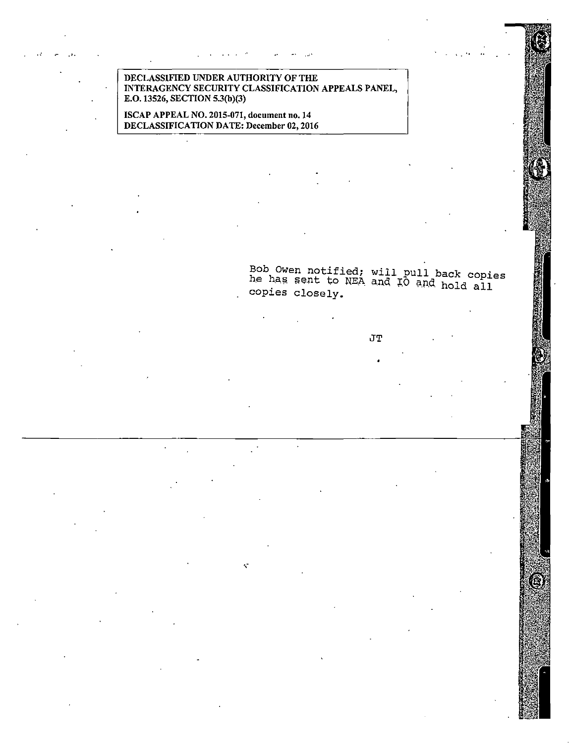DECLASSIFIED UNDER AUTHORITY OF THE INTERAGENCY SECURITY CLASSIFICATION APPEALS PANEL, E.O. 13526, SECTION 5.3(b)(3)

... ...· '. '• ..

ISCAP APPEAL NO. 2015-071, document no. 14 DECLASSIFICATION DATE: December 02, 2016

> Bob Owen notified; will pull back copies he has sent to NEA and IO and hold all copies closely.

> > JT

徯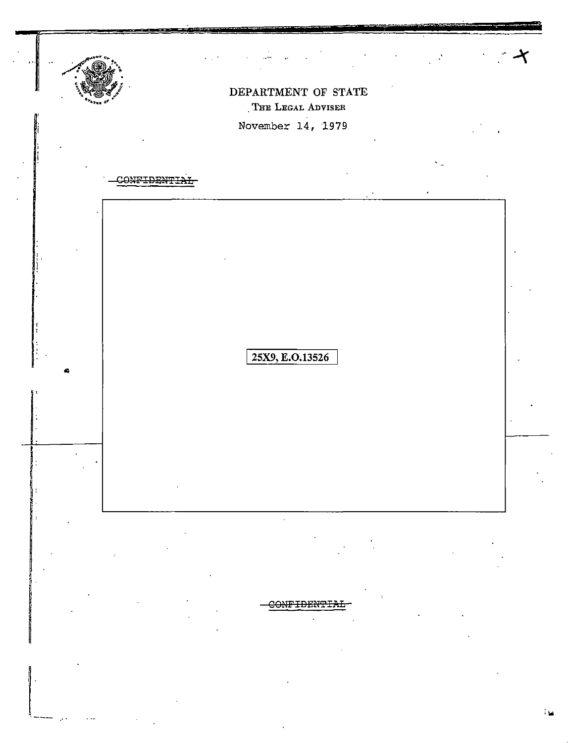

ャ

# DEPARTMENT OF STATE THE LEGAL ADVISER

November 14, 1979

| ٦<br>ייר<br>لتبتنهم |                 | $\bullet$ | ٠ |  |
|---------------------|-----------------|-----------|---|--|
|                     |                 |           |   |  |
|                     |                 |           |   |  |
|                     |                 |           |   |  |
|                     |                 |           |   |  |
|                     |                 |           |   |  |
|                     |                 |           |   |  |
|                     |                 |           |   |  |
|                     |                 |           |   |  |
|                     | 25X9, E.O.13526 |           |   |  |
|                     |                 |           |   |  |
|                     |                 |           |   |  |
|                     |                 |           |   |  |
|                     |                 |           |   |  |
|                     |                 |           |   |  |
|                     |                 |           |   |  |
| $\bullet$           |                 |           |   |  |
|                     |                 |           |   |  |

 $\ddot{\phantom{a}}$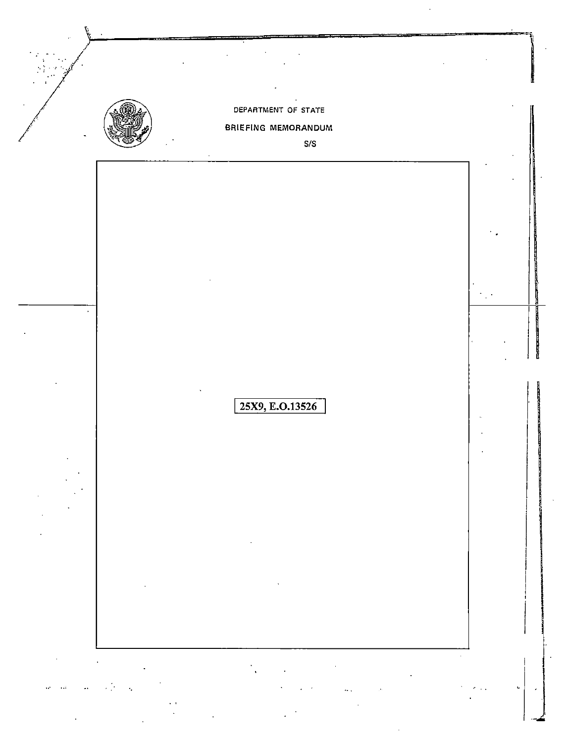|                                    |                                                                                                                                                                                                                                                                                                               | DEPARTMENT OF STATE<br><b>BRIEFING MEMORANDUM</b>                                                                                                                                                                                                                          |                                                                                             |
|------------------------------------|---------------------------------------------------------------------------------------------------------------------------------------------------------------------------------------------------------------------------------------------------------------------------------------------------------------|----------------------------------------------------------------------------------------------------------------------------------------------------------------------------------------------------------------------------------------------------------------------------|---------------------------------------------------------------------------------------------|
|                                    |                                                                                                                                                                                                                                                                                                               | $\mathsf{S}/\mathsf{S}$                                                                                                                                                                                                                                                    |                                                                                             |
|                                    |                                                                                                                                                                                                                                                                                                               |                                                                                                                                                                                                                                                                            |                                                                                             |
|                                    |                                                                                                                                                                                                                                                                                                               |                                                                                                                                                                                                                                                                            |                                                                                             |
|                                    |                                                                                                                                                                                                                                                                                                               |                                                                                                                                                                                                                                                                            |                                                                                             |
|                                    |                                                                                                                                                                                                                                                                                                               |                                                                                                                                                                                                                                                                            |                                                                                             |
|                                    |                                                                                                                                                                                                                                                                                                               |                                                                                                                                                                                                                                                                            |                                                                                             |
|                                    |                                                                                                                                                                                                                                                                                                               |                                                                                                                                                                                                                                                                            |                                                                                             |
|                                    |                                                                                                                                                                                                                                                                                                               |                                                                                                                                                                                                                                                                            |                                                                                             |
|                                    |                                                                                                                                                                                                                                                                                                               |                                                                                                                                                                                                                                                                            |                                                                                             |
|                                    |                                                                                                                                                                                                                                                                                                               | 25X9, E.O.13526                                                                                                                                                                                                                                                            |                                                                                             |
|                                    |                                                                                                                                                                                                                                                                                                               |                                                                                                                                                                                                                                                                            |                                                                                             |
|                                    |                                                                                                                                                                                                                                                                                                               |                                                                                                                                                                                                                                                                            |                                                                                             |
|                                    |                                                                                                                                                                                                                                                                                                               |                                                                                                                                                                                                                                                                            |                                                                                             |
|                                    |                                                                                                                                                                                                                                                                                                               |                                                                                                                                                                                                                                                                            |                                                                                             |
|                                    |                                                                                                                                                                                                                                                                                                               | the control of the control of the                                                                                                                                                                                                                                          |                                                                                             |
|                                    |                                                                                                                                                                                                                                                                                                               |                                                                                                                                                                                                                                                                            |                                                                                             |
|                                    |                                                                                                                                                                                                                                                                                                               | $\mathcal{L}(\mathcal{L}(\mathcal{L}))$ and $\mathcal{L}(\mathcal{L}(\mathcal{L}))$ and $\mathcal{L}(\mathcal{L}(\mathcal{L}))$ . We also also also also the contribution of $\mathcal{L}(\mathcal{L})$                                                                    |                                                                                             |
|                                    |                                                                                                                                                                                                                                                                                                               |                                                                                                                                                                                                                                                                            |                                                                                             |
|                                    |                                                                                                                                                                                                                                                                                                               | $\mathcal{L}^{\mathcal{L}}(\mathcal{L}^{\mathcal{L}})$ and $\mathcal{L}^{\mathcal{L}}(\mathcal{L}^{\mathcal{L}})$ and $\mathcal{L}^{\mathcal{L}}(\mathcal{L}^{\mathcal{L}})$<br>$\mathcal{O}(\mathcal{O}_\mathcal{O})$ . The set of $\mathcal{O}(\mathcal{O}_\mathcal{O})$ | $\mathcal{O}(10^{-10})$                                                                     |
| $\mathcal{O}(\mathcal{O}(\log n))$ | $\label{eq:2.1} \mathbf{a}_{\mathcal{A}} = \mathbf{a}_{\mathcal{A}} \mathbf{a}_{\mathcal{A}} + \mathbf{a}_{\mathcal{A}} \mathbf{a}_{\mathcal{A}} + \mathbf{a}_{\mathcal{A}} \mathbf{a}_{\mathcal{A}} + \mathbf{a}_{\mathcal{A}} \mathbf{a}_{\mathcal{A}} + \mathbf{a}_{\mathcal{A}} \mathbf{a}_{\mathcal{A}}$ | $\mathcal{L}(\mathbf{q},\mathbf{q})$ and $\mathcal{L}(\mathbf{q},\mathbf{q})$ . We can consider the $\mathcal{L}(\mathbf{q},\mathbf{q})$                                                                                                                                   | $\mathcal{F}^{\mathcal{G}}_{\mathcal{G}}$ , where $\mathcal{F}^{\mathcal{G}}_{\mathcal{G}}$ |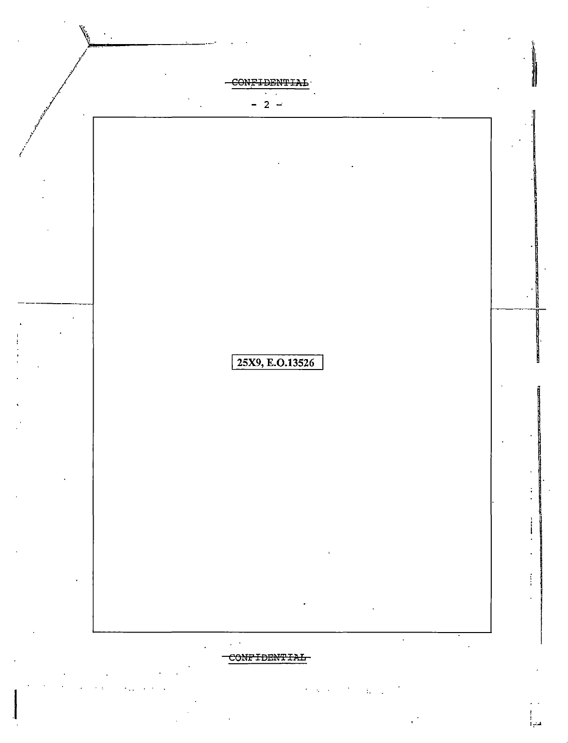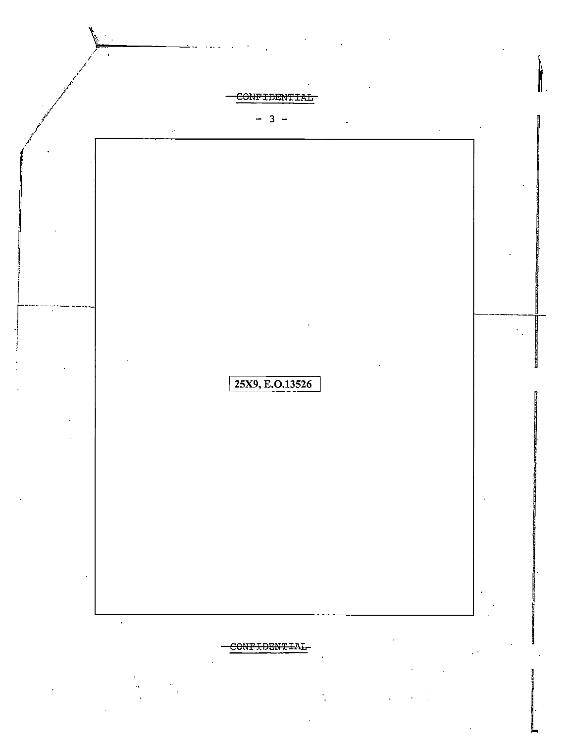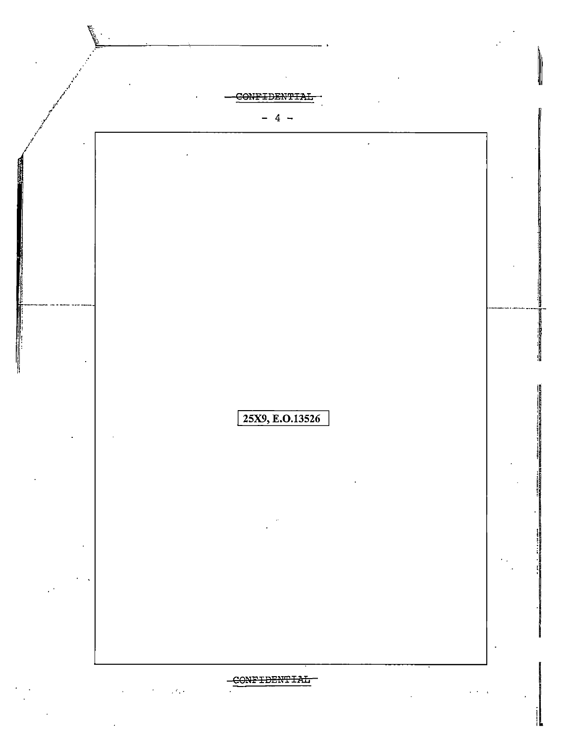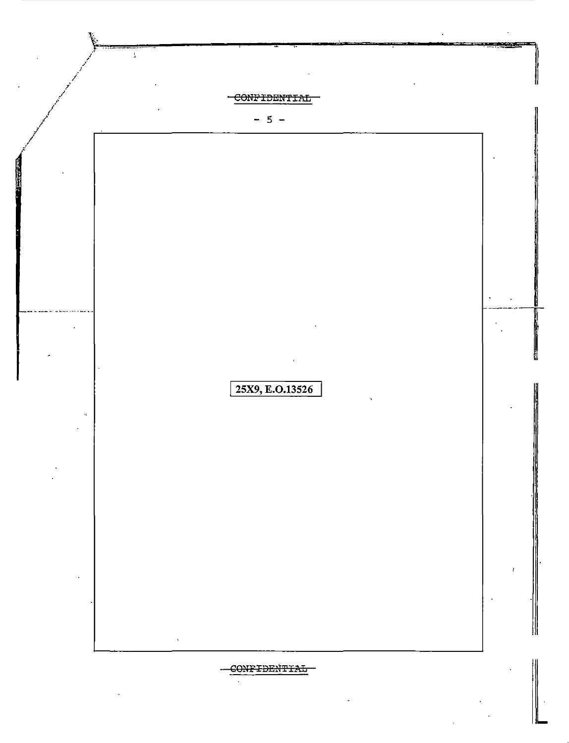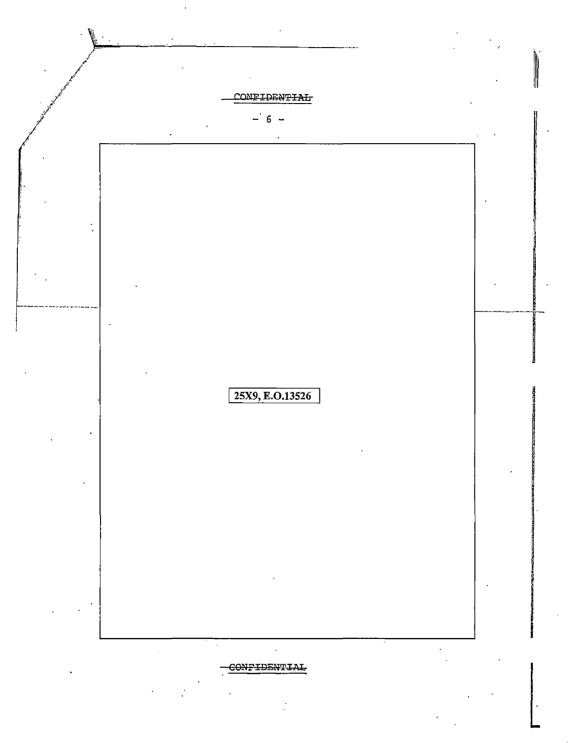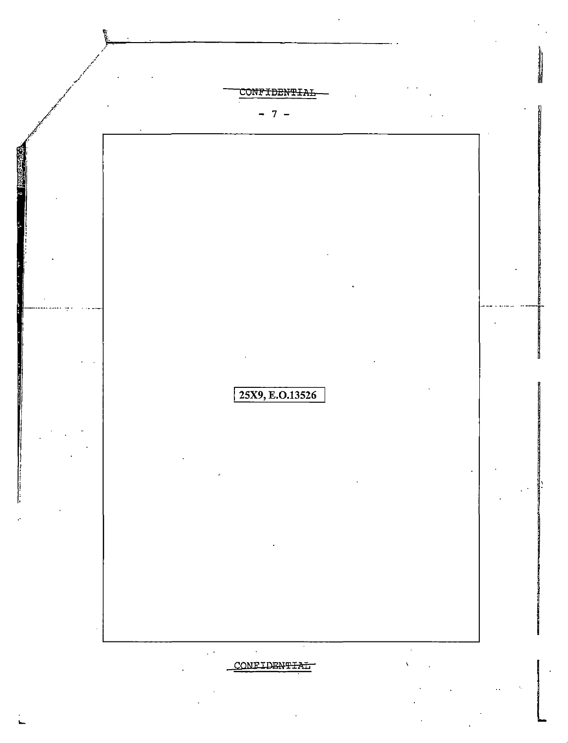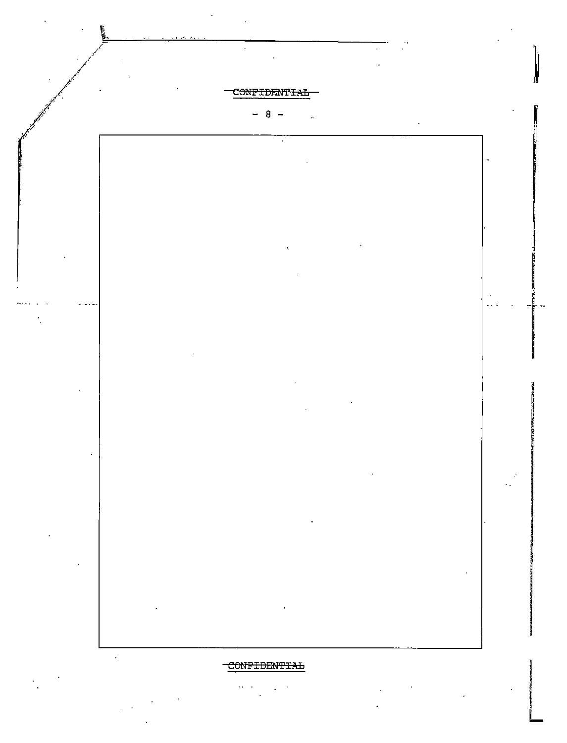

# CONFIDENTIAL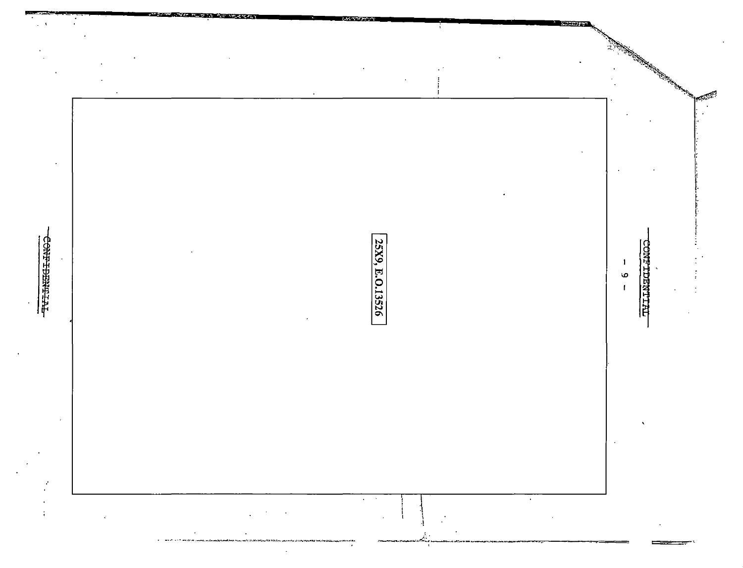|                                            |                            |                                                                       |                          | a shekara wa Tanzania ya Tanzania ya Tanzania ya Tanzania ya Tanzania ya Tanzania ya Tanzania ya Tanzania ya T<br>تحكموا |
|--------------------------------------------|----------------------------|-----------------------------------------------------------------------|--------------------------|--------------------------------------------------------------------------------------------------------------------------|
|                                            |                            |                                                                       |                          |                                                                                                                          |
|                                            |                            |                                                                       |                          |                                                                                                                          |
|                                            |                            |                                                                       |                          |                                                                                                                          |
|                                            |                            |                                                                       |                          |                                                                                                                          |
| CONFIDENTIAL<br>$\overline{\phantom{a}}$   |                            |                                                                       |                          | <b>CNFTDENTIAL</b><br>$\mathbf{I}$<br>$\circ$                                                                            |
| $\bullet$                                  |                            | 25X9, E.O.13526                                                       |                          |                                                                                                                          |
|                                            |                            |                                                                       |                          |                                                                                                                          |
|                                            |                            |                                                                       |                          |                                                                                                                          |
|                                            |                            |                                                                       |                          |                                                                                                                          |
|                                            |                            |                                                                       |                          | $\cdot$                                                                                                                  |
| $\mathcal{L}_{\mathcal{A}}$<br>$\bullet$   |                            |                                                                       |                          |                                                                                                                          |
| $\bullet$<br>$\mathcal{A}^{\mathcal{A}}$ . | $\sim$<br>$\sim$<br>$\sim$ | $\mathcal{A}^{\mathcal{A}}$ and $\mathcal{A}^{\mathcal{A}}$<br>$\sim$ | $\mathbf{A}$ .<br>$\sim$ |                                                                                                                          |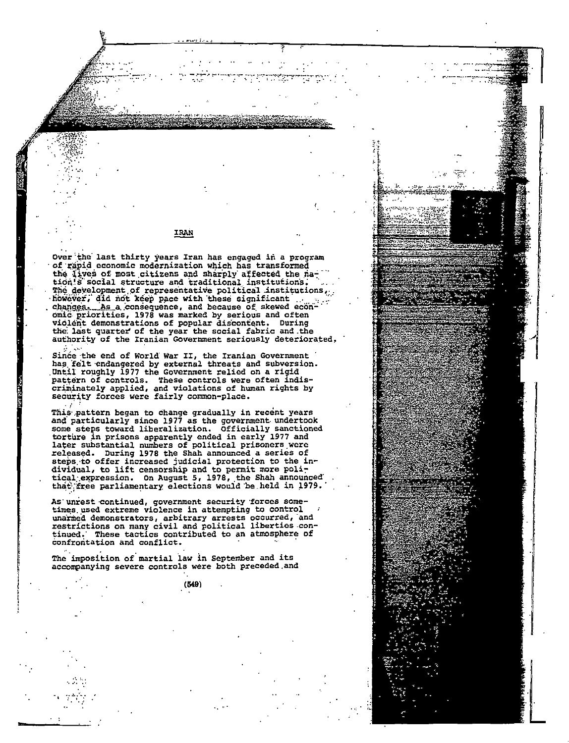IRAN

Over the last thirty years Iran has engaged in a program of rapid economic modernization which has transformed the lives of most citizens and sharply affected the nation's social structure and traditional institutions. The development of representative political institutions. however, did not keep pace with these significant changes. As a consequence, and because of skewed economic priorities, 1978 was marked by serious and often violent demonstrations of popular discontent. During the last quarter of the year the social fabric and the authority of the Iranian Government seriously deteriorated.

Since the end of World War II, the Iranian Government has felt endangered by external threats and subversion.<br>Until roughly 1977 the Government relied on a rigid pattern of controls. These controls were often indiscriminately applied, and violations of human rights by security forces were fairly common-place.

This pattern began to change gradually in recent years and particularly since 1977 as the government undertook some steps toward liberalization. Officially sanctioned torture in prisons apparently ended in early 1977 and later substantial numbers of political prisoners were released. During 1978 the Shah announced a series of steps to offer increased judicial protection to the in-<br>dividual, to lift censorship and to permit more political expression. On August 5, 1978, the Shah announced that free parliamentary elections would be held in 1979.

As unrest continued, government security forces sometimes used extreme violence in attempting to control unarmed demonstrators, arbitrary arrests occurred, and restrictions on many civil and political liberties continued. These tactics contributed to an atmosphere of confrontation and conflict.

The imposition of martial law in September and its accompanying severe controls were both preceded and

 $(549)$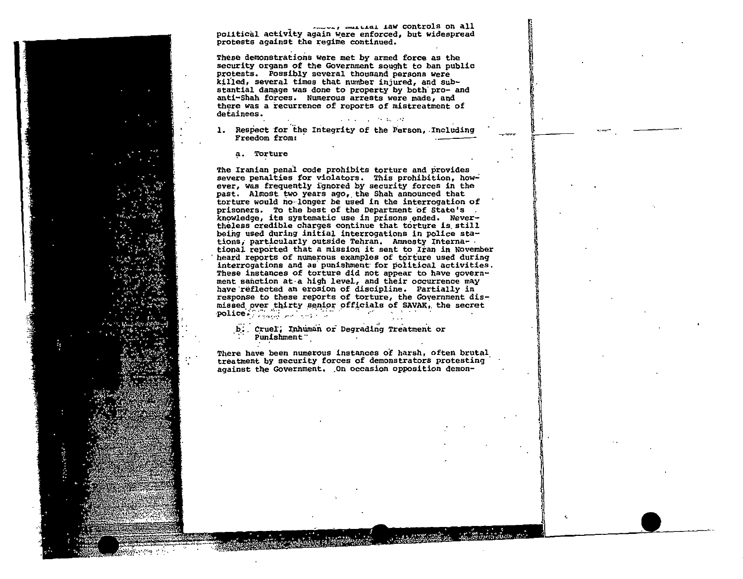......, ......... Iaw controls on all political activity again were enforced, but widespread protests against the regime continued.

These demonstrations were met by armed force as the security organs of the Government sought to ban public protests. Possibly several thousand persons were killed, several times that number injured, and substantial damage was done to property by both pro- and anti-Shah forces. Numerous arrests were made, and there was a recurrence of reports of mistreatment of detainees. and the company of the company

1. Respect for the Integrity of the Person, Including Freedom from:

a. Torture

The Iranian penal code prohibits torture and provides severe penalties for violators. This prohibition, however, was frequently ignored by security forces in the past. Almost two years ago, the Shah announced that torture would no longer be used in the interrogation of prisoners. To the best of the Department of State's . knowledge, its systematic use in prisons ended. Nevertheless credible charges continue that torture is still being used during initial interrogations in police stations, particularly outside Tehran. Amnesty International reported that a mission it sent to Iran in November heard reports of numerous examples of torture used during interrogations and as punishment for political activities. These instances of torture did not appear to have government sanction at a high level, and their occurrence may have reflected an erosion of discipline. Partially in response to these reports of torture, the Government dismissed over thirty senior officials of SAVAK, the secret **Contract** 

b. Cruel, Inhuman or Degrading Treatment or Punishment "

There have been numerous instances of harsh. often brutal treatment by security forces of demonstrators protesting against the Government. On occasion opposition demon-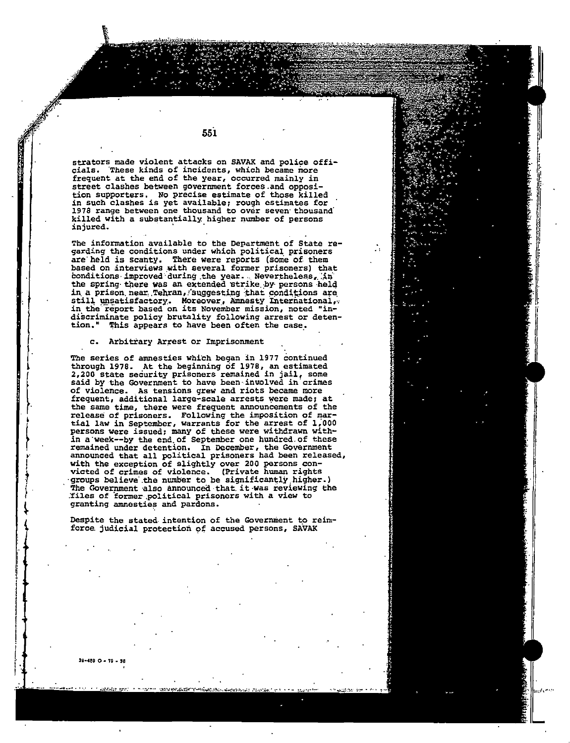strators made violent attacks on SAVAK and police officials. 'These kinds of incidents, which became more frequent at the end of the year, occurred mainly in street clashes between government forces.and opposition supporters. No precise estimate of those killed in such clashes is yet available, rough estimates for 1978 range between one thousand to over seven thousand killed with a substantially higher number of persons injured.

551

The information available to the Department of State re-<br>garding the conditions under which political prisoners<br>are held is scanty. There were reports (some of them based on interviews with several former prisoners) that conditions improved during the year. Nevertheless, in the spring there was an extended strike by persons held in a prison near Tehran, suggesting that conditions are still unsatisfactory. Moreover, Amnesty International, in the report based on its November mission, noted "indiscriminate policy brutality following arrest or detention." This appears to have been often the case.

### c. Arbitrary Arrest or Imprisonment

The series of amnesties which began in 1977 continued through 1976. At the beginning of 1976, an estimated 2,200 state security prisoners remained in jail, some said by the Government to have been involved in crimes of violence. As tensions grew and riots became more frequent, additional large-scale arrests were made; at the same time, there were frequent announcements of the release of prisoners. Following the imposition of martial law in September, warrants for the arrest of 1,000 persons were issued: many of these were withdrawn within a week--by the end of September one hundred of these remained under detention. In December, the Government announced that all political prisoners had been released, with the exception of slightly over 200 persons convicted of crimes of violence. (Private human rights groups believe the number to be significantly higher.) The Government also announced that it was reviewing the files of former political prisoners with a view to granting amnesties and pardons.

Despite the stated intention of the Government to reinforce judicial protection of accused persons, SAVAK

~8·489 0 • *18* • 3(1

 $\int$ t  $\int \cdot$ 

~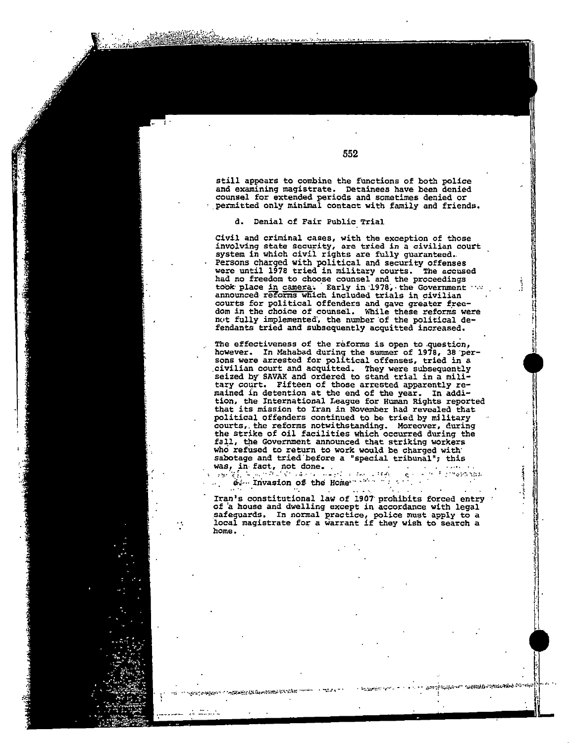still appears to combine the functions of both police and examining magistrate. Detainees have been denied counsel for extended periods and sometimes denied or permitted only minimal contact with family and friends.

## d. Denial of Fair Public Trial

Civil and criminal cases, with the exception of those involving state security, are tried in a civilian court system in which civil rights are fully guaranteed. Persons charged with political and security offenses were until 1978 tried in military courts. The accused had no freedom to choose counsel and the proceedings took place in camera. Early in 1978, the Government *in*  $\frac{1}{2}$ announced reforms which included trials in civilian courts for political offenders and gave greater free-<br>dom in the choice of counsel. While these reforms were not fully implemented, the number of the political defendants tried and subsequently acquitted increased.

The effectiveness of the reforms is open to question, however. In Mahabad during the summer of 1978, 3B"per sons were arrested for political offenses, tried in a .civilian court and acquitted. They were subsequently seized by SAVAK and ordered to stand trial in a mili tary coqrt. Fifteen of those arrested apparently re mained *in* detention at the end of the year. In addi tion, the International League for Human Rights reported tbat its mission to Iran in November had revealed that political offenders continued to be tried by military courts,. the reforms notwithstanding. Moreover, during the strike of oil facilities which occurred during the fall, the Government announced that striking workers who refused to return to work would be charged with' sabotage and tried before a "special tribunal"; this sabotage and tried before a<br>was, in fact, not done.

*:•.t·* ··~~·*.•* :~ Iri~~·~~~·~ ~.;~ ·~~ -H~ine···':·;, .. :. =:.~;. ~. ·~ .· .<sup>~</sup>

Iran's constitutional law of 1907 prohibits forced entry of a house and dwelling except in accordance with legal .safeguards. In normal practice, police must apply to a sareguarus. In hormal practice, police must apply to a<br>local magistrate for a warrant if they wish to search a home.

552

الخارجين المتجار استجارته المحاوضة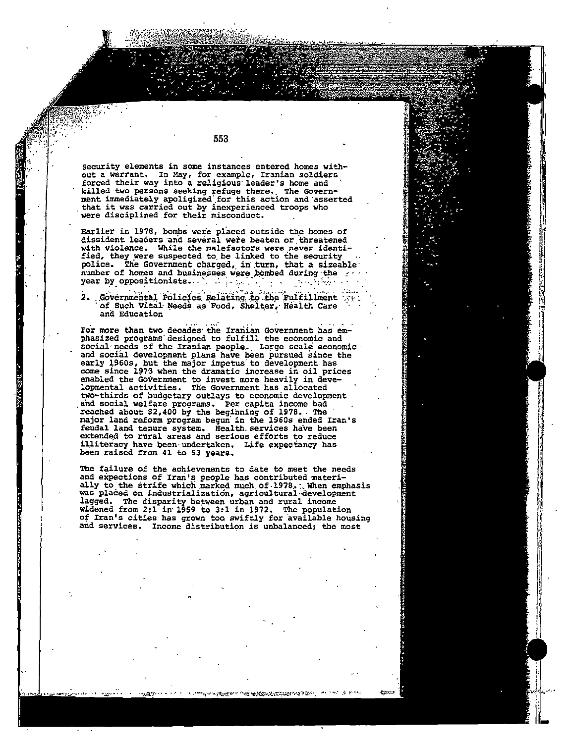Security elements in some instances entered homes withpout a warrant. In May, for example, Iranian soldiers<br>forced their way into a religious leader's home and killed two persons seeking refuge there. The Govern-<br>ment immediately apoligized for this action and asserted<br>that it was carried out by inexperienced troops who were disciplined for their misconduct.

Earlier in 1978, bombs were placed outside the homes of dissident leaders and several were beaten or threatened with violence. While the malefactors were never identified, they were suspected to be linked to the security police. The Government charged, in turn, that a sizeable. number of homes and businesses were bombed during the year by oppositionists. We have  $\mathbb{R}^n$  and  $\mathbb{R}^n$ أخراجهم والمراجي

2. Governmental Policies Relating to the Fulfillment of Such Vital Needs as Food, Shelter, Health Care and Education

For more than two decades the Iranian Government has emphasized programs designed to fulfill the economic and social needs of the Iranian people. Large scale economic. and social development plans have been pursued since the early 1960s, but the major impetus to development has<br>come since 1973 when the dramatic increase in oil prices enabled the Government to invest more heavily in developmental activities. The Government has allocated<br>two-thirds of budgetary outlays to economic development and social welfare programs. Per capita income had reached about \$2,400 by the beginning of 1978. The<br>major land reform program begun in the 1960s ended Iran's feudal land tenure system. Health services have been extended to rural areas and serious efforts to reduce illiteracy have been undertaken. Life expectancy has been raised from 41 to 53 years.

The failure of the achievements to date to meet the needs and expections of Iran's people has contributed materially to the strife which marked much of 1978. When emphasis was placed on industrialization, agricultural development lagged. The disparity between urban and rural income widened from 2:1 in 1959 to 3:1 in 1972. The population of Iran's cities has grown too swiftly for available housing and services. Income distribution is unbalanced; the most

n kiptogref ni forsatstandet staten i 1970.

553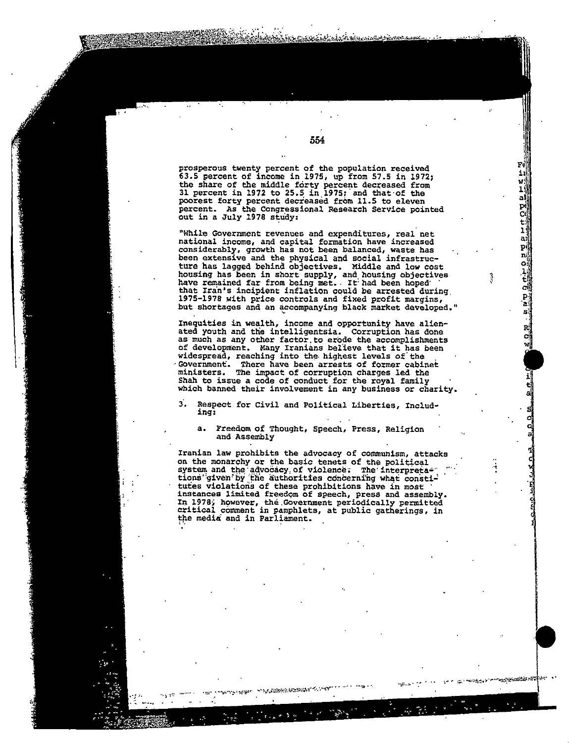prosperous twenty percent of the population received 63.5 percent of income in 1975, up from 57.5 in 1972; the share of the middle forty percent decreased from<br>31 percent in 1972 to 25.5 in 1975; and that of the poorest forty percent decreased from 11.5 to eleven percent. As the Congressional Research Service pointed<br>out in a July 1978 study:

a)

D. ē٤

a.

pi

ni

أه  $\frac{1}{t}$ 

cü  $\mathbf{P}^{\mathrm{u}}$ 

'all

si

RÍ

C,

-<br>\*\*\*กรุงโรเซียมันต์ตัว กลัว

"While Government revenues and expenditures, real net national income, and capital formation have increased considerably, growth has not been balanced, waste has been extensive and the physical and social infrastruc-<br>ture has lagged behind objectives. Middle and low cost housing has been in short supply, and housing objectives<br>have remained far from being met. It had been hoped that Iran's incipient inflation could be arrested during 1975-1978 with price controls and fixed profit margins, but shortages and an accompanying black market developed."

Inequities in wealth, income and opportunity have alienated youth and the intelligentsia. Corruption has done as much as any other factor to erode the accomplishments of development. Many Iranians believe that it has been<br>widespread, reaching into the highest levels of the Government. There have been arrests of former cabinet ministers. The impact of corruption charges led the Shah to issue a code of conduct for the royal family which banned their involvement in any business or charity

R. Respect for Civil and Political Liberties, Including:

Freedom of Thought, Speech, Press, Religion a. and Assembly

Iranian law prohibits the advocacy of communism, attacks on the monarchy or the basic tenets of the political system and the advocacy of violence; The interpretations given by the authorities concerning what constitutes violations of these prohibitions have in most<br>instances limited freedom of speech, press and assembly. In 1978, however, the Government periodically permitted critical comment in pamphlets, at public gatherings, in the media and in Parliament.

enezo terrentzi

554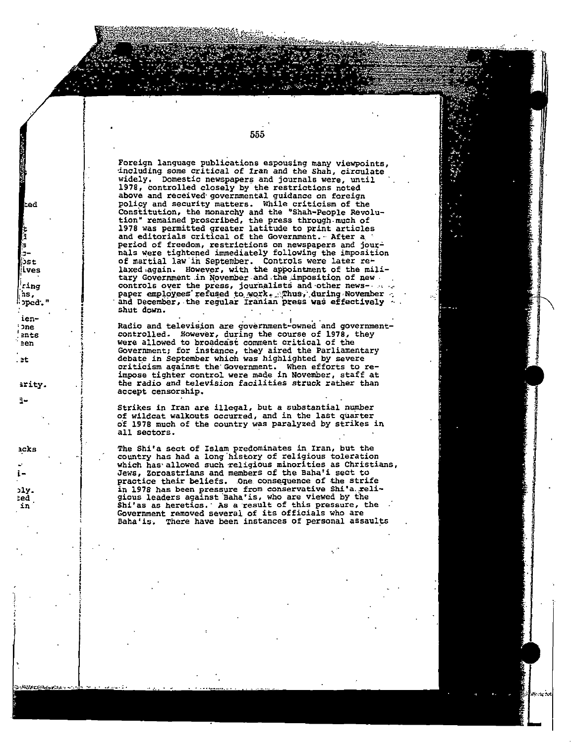Foreign language publications espousing many viewpoints, including some critical of Iran and the Shah, circulate widely. Domestic newspapers and journals were, until 1978, controlled closely by the restrictions noted above and received governmental guidance on foreign policy and security matters. While criticism of the Constitution, the monarchy and the "Shah-People Revolution" remained proscribed, the press through much of<br>1978 was permitted greater latitude to print articles<br>and editorials critical of the Government. After a period of freedom, restrictions on newspapers and journals were tightened immediately following the imposition of martial law in September. Controls were later re-<br>laxed again. However, with the appointment of the military Government in November and the imposition of new. controls over the press, journalists and other newspaper employees refused to work. Thus, during November and December, the regular Iranian press was effectively shut down.

lced

bst ives

<sup>'</sup>ring

∶ped."

hs.

ien-

ents

arity.

**one** 

een

. et

٦-

acks

こころにはくちゃんしゅう

555

Radio and television are government-owned and governmentcontrolled. However, during the course of 1978, they were allowed to broadcast comment critical of the Government; for instance, they aired the Parliamentary debate in September which was highlighted by severe criticism against the Government. When efforts to re-<br>impose tighter control were made in November, staff at the radio and television facilities struck rather than accept censorship.

Strikes in Iran are illegal, but a substantial number of wildcat walkouts occurred, and in the last quarter of 1978 much of the country was paralyzed by strikes in all sectors.

The Shi'a sect of Islam predominates in Iran, but the country has had a long history of religious toleration which has allowed such religious minorities as Christians, Jews, Zoroastrians and members of the Baha'i sect to practice their beliefs. One consequence of the strife in 1978 has been pressure from conservative Shi'a religious leaders against Baha'is, who are viewed by the Shi'as as heretics. As a result of this pressure, the Government removed several of its officials who are Baha'is. There have been instances of personal assaults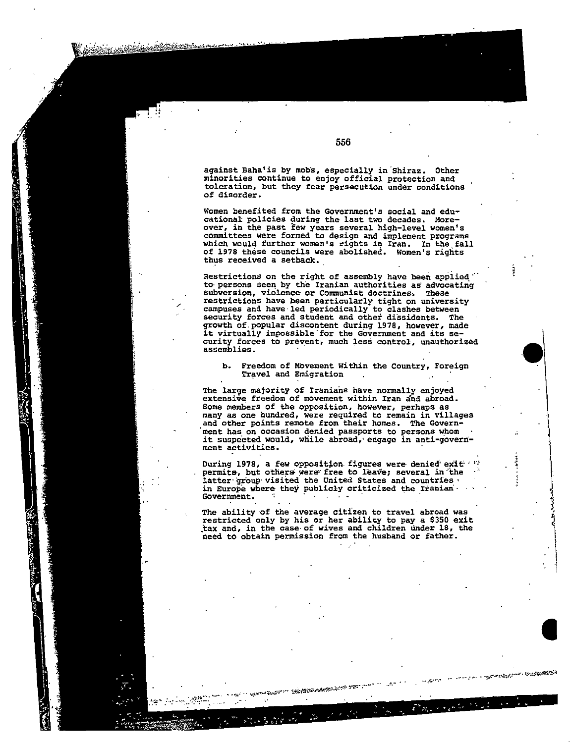against Baha'is by mobs, especially in Shiraz. Other minorities continue to enjoy official protection and toleration, but they fear persecution under conditions of disorder.

Women benefited from the Government's social and educational policies during the last two decades. More-<br>over, in the past few years several high-level women's committees were formed to design and implement programs which would further women's rights in Iran. In the fall of 1978 these councils were abolished. Women's rights thus received a setback.

Restrictions on the right of assembly have been applied. to persons seen by the Iranian authorities as advocating subversion, violence or Communist doctrines. These restrictions have been particularly tight on university campuses and have led periodically to clashes between<br>security forces and student and other dissidents. The growth of popular discontent during 1978, however, made it virtually impossible for the Government and its security forces to prevent, much less control, unauthorized assemblies.

Freedom of Movement Within the Country, Foreign b. Travel and Emigration

The large majority of Iranians have normally enjoyed extensive freedom of movement within Iran and abroad. Some members of the opposition, however, perhaps as many as one hundred, were required to remain in villages and other points remote from their homes. The Government has on occasion denied passports to persons whom it suspected would, while abroad, engage in anti-government activities.

During 1978, a few opposition figures were denied exit (1) permits, but others were free to leave; several in the latter group visited the United States and countries in Europe where they publicly criticized the Iranian. Government. ÷

The ability of the average citizen to travel abroad was restricted only by his or her ability to pay a \$350 exit tax and, in the case of wives and children under 18, the need to obtain permission from the husband or father.

With San Barbara and Mar

ranggunaan muagasang sis

 $\omega_{\rm eff}$  and  $\omega_{\rm eff}$ 

.<br>د لاه

556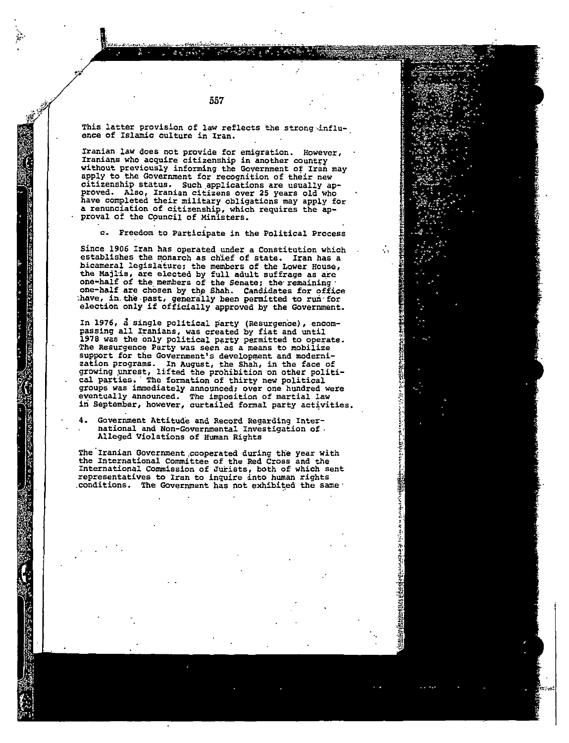557

This latter provision of law reflects the strong influence of Islamic culture in Iran.

Iranian law does not provide for emigration. However, Iranians who acquire citizenship in another country without previously informing the Government of Iran may apply to the Government for recognition of their new citizenship status. Such.applications are usually ap proved. Also, Iranian citizens over 25 years old who have completed their military obligations may apply for a renunciation of citizenship, which requires the approval of the Cpuncil of Minlsters.

c. Freedom to Participate in the Political Process

Since 1906 Iran has operated under a Constitution which establishes the monarch as chief of state. Iran has a bicameral legislature; the members of the Lower House, the Majlis, are elected by full adult suffrage as are<br>one-half of the members of the Senate; the remaining one-half are chosen by the Shah. Candidates for office have, in the past, generally been permitted to run for have, in the past, generally been permitted to run for election only if officially approved by the Government.

In 1976, a single political party (Resurgence), encompassing all Iranians, was created by fiat and until 1978 was the Only political· party permitted to operate. The Resurgence Party was seen as a means to mobilize support for the Government's development and modernization programs. In August, the Shah, in the face of growing unrest, lifted the prohibition on other political parties. The formation of thirty new political groups was immediately announced; over one hundred were<br>eventually announced. The imposition of martial law<br>in September, however, curtailed formal party activities.

Government Attitude and Record Regarding Inter national and Non-Governmental Investigation of . Alleged Violations of Human Rights

The Iranian Government cooperated during the year with the International Committee of the Red Cross and the International Commission of Jurists, both of which sent representatives to Iran to inquire into human rights conditions. The Government has not exhibited the same .

**SASSANGELAS**